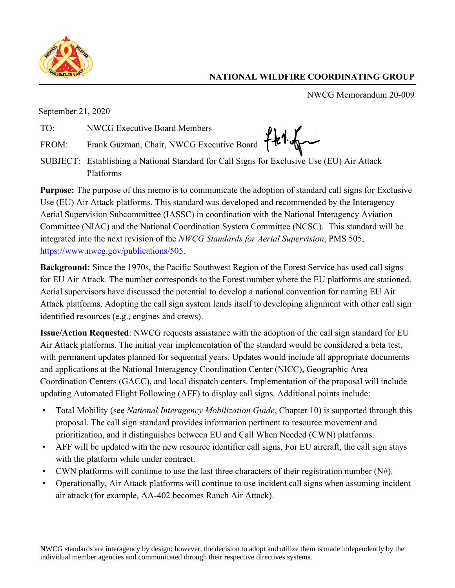

## **NATIONAL WILDFIRE COORDINATING GROUP**

NWCG Memorandum 20-009

September 21, 2020

TO: NWCG Executive Board Members

FROM: Frank Guzman, Chair, NWCG Executive Board

SUBJECT: Establishing a National Standard for Call Signs for Exclusive Use (EU) Air Attack Platforms

**Purpose:** The purpose of this memo is to communicate the adoption of standard call signs for Exclusive Use (EU) Air Attack platforms. This standard was developed and recommended by the Interagency Aerial Supervision Subcommittee (IASSC) in coordination with the National Interagency Aviation Committee (NIAC) and the National Coordination System Committee (NCSC). This standard will be integrated into the next revision of the *NWCG Standards for Aerial Supervision*, PMS 505, [https://www.nwcg.gov/publications/505.](https://www.nwcg.gov/publications/505)

**Background:** Since the 1970s, the Pacific Southwest Region of the Forest Service has used call signs for EU Air Attack. The number corresponds to the Forest number where the EU platforms are stationed. Aerial supervisors have discussed the potential to develop a national convention for naming EU Air Attack platforms. Adopting the call sign system lends itself to developing alignment with other call sign identified resources (e.g., engines and crews).

**Issue/Action Requested**: NWCG requests assistance with the adoption of the call sign standard for EU Air Attack platforms. The initial year implementation of the standard would be considered a beta test, with permanent updates planned for sequential years. Updates would include all appropriate documents and applications at the National Interagency Coordination Center (NICC), Geographic Area Coordination Centers (GACC), and local dispatch centers. Implementation of the proposal will include updating Automated Flight Following (AFF) to display call signs. Additional points include:

- Total Mobility (see *National Interagency Mobilization Guide*, Chapter 10) is supported through this proposal. The call sign standard provides information pertinent to resource movement and prioritization, and it distinguishes between EU and Call When Needed (CWN) platforms.
- AFF will be updated with the new resource identifier call signs. For EU aircraft, the call sign stays with the platform while under contract.
- CWN platforms will continue to use the last three characters of their registration number  $(N#)$ .
- Operationally, Air Attack platforms will continue to use incident call signs when assuming incident air attack (for example, AA-402 becomes Ranch Air Attack).